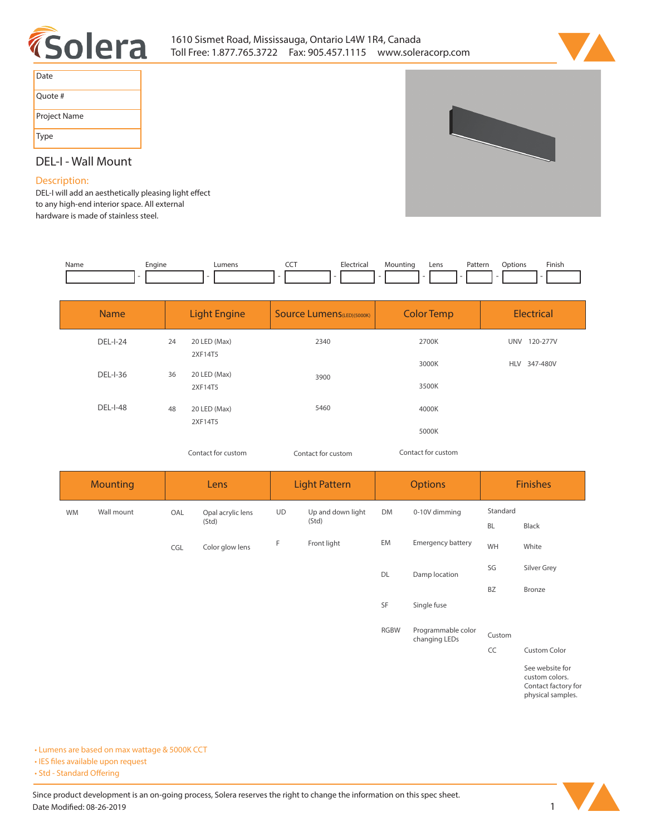



| Date         |
|--------------|
| Quote #      |
| Project Name |
| Type         |



## **DEL-I - Wall Mount**

### **Description:**

**DEL-I will add an aesthetically pleasing light effect to any high-end interior space. All external hardware is made of stainless steel.** 

| Name | cngine | umen. | --- | Flectric:<br>. | n | Lens | Pattern<br>. | ptions | Finish<br>the contract of the contract of the |
|------|--------|-------|-----|----------------|---|------|--------------|--------|-----------------------------------------------|
|      |        |       |     |                |   |      |              |        |                                               |

| <b>Name</b>     | <b>Light Engine</b> |                         | <b>Source Lumens</b> (LED)(5000K) | <b>Color Temp</b> | <b>Electrical</b> |  |
|-----------------|---------------------|-------------------------|-----------------------------------|-------------------|-------------------|--|
| <b>DEL-I-24</b> | 24                  | 20 LED (Max)<br>2XF14T5 | 2340                              | 2700K             | UNV 120-277V      |  |
| <b>DEL-I-36</b> | 36                  | 20 LED (Max)<br>2XF14T5 | 3900                              | 3000K<br>3500K    | HLV 347-480V      |  |
| <b>DEL-I-48</b> | 48                  | 20 LED (Max)<br>2XF14T5 | 5460                              | 4000K             |                   |  |
|                 |                     |                         |                                   | 5000K             |                   |  |

*Contact for custom Contact for custom*

| Contact for custom |  |
|--------------------|--|
|--------------------|--|

| <b>Mounting</b> |            | Lens  |                   | <b>Light Pattern</b> |                            | <b>Options</b> |                                     | <b>Finishes</b> |                                                                               |
|-----------------|------------|-------|-------------------|----------------------|----------------------------|----------------|-------------------------------------|-----------------|-------------------------------------------------------------------------------|
| <b>WM</b>       | Wall mount | OAL   | Opal acrylic lens | UD                   | Up and down light<br>(Std) | DM             | 0-10V dimming                       | Standard        |                                                                               |
|                 |            | (Std) |                   |                      | <b>BL</b>                  | Black          |                                     |                 |                                                                               |
|                 |            | CGL   | Color glow lens   | F                    | Front light                | EM             | Emergency battery                   | WH              | White                                                                         |
|                 |            |       |                   |                      |                            | DL             | Damp location                       | SG              | Silver Grey                                                                   |
|                 |            |       |                   |                      |                            |                |                                     | <b>BZ</b>       | Bronze                                                                        |
|                 |            |       |                   |                      |                            | SF             | Single fuse                         |                 |                                                                               |
|                 |            |       |                   |                      |                            | <b>RGBW</b>    | Programmable color<br>changing LEDs | Custom          |                                                                               |
|                 |            |       |                   |                      |                            |                |                                     | CC              | Custom Color                                                                  |
|                 |            |       |                   |                      |                            |                |                                     |                 | See website for<br>custom colors.<br>Contact factory for<br>physical samples. |

**• Lumens are based on max wattage & 5000K CCT**

**• IES files available upon request** 

• Std - Standard Offering

Since product development is an on-going process, Solera reserves the right to change the information on this spec sheet. **Date Modified: 08-26-2019** 1